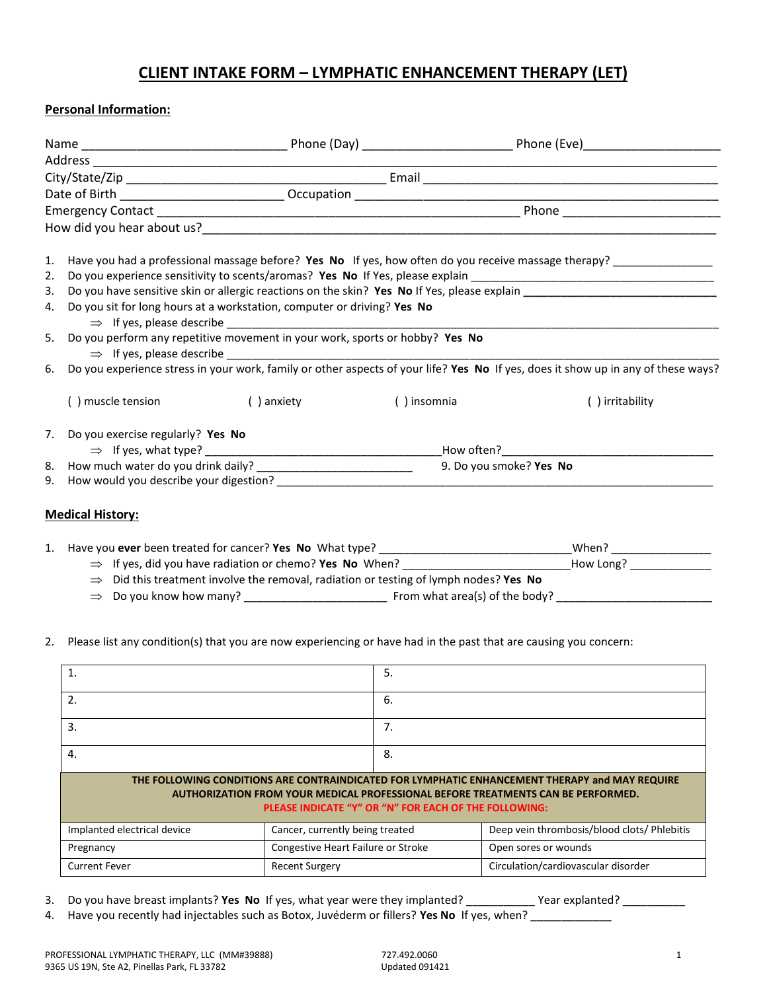## **CLIENT INTAKE FORM – LYMPHATIC ENHANCEMENT THERAPY (LET)**

## **Personal Information:**

| 1. |                                                                              |                                                                                                                                   |             | Have you had a professional massage before? Yes No If yes, how often do you receive massage therapy? _______________ |  |
|----|------------------------------------------------------------------------------|-----------------------------------------------------------------------------------------------------------------------------------|-------------|----------------------------------------------------------------------------------------------------------------------|--|
| 2. |                                                                              |                                                                                                                                   |             |                                                                                                                      |  |
| 3. |                                                                              |                                                                                                                                   |             |                                                                                                                      |  |
| 4. | Do you sit for long hours at a workstation, computer or driving? Yes No      |                                                                                                                                   |             |                                                                                                                      |  |
| 5. | Do you perform any repetitive movement in your work, sports or hobby? Yes No |                                                                                                                                   |             |                                                                                                                      |  |
| 6. |                                                                              | Do you experience stress in your work, family or other aspects of your life? Yes No If yes, does it show up in any of these ways? |             |                                                                                                                      |  |
|    | () muscle tension                                                            | () anxiety                                                                                                                        | () insomnia | () irritability                                                                                                      |  |
| 7. | Do you exercise regularly? Yes No                                            |                                                                                                                                   |             |                                                                                                                      |  |
|    |                                                                              |                                                                                                                                   |             | _How often?_____________                                                                                             |  |
| 8. |                                                                              | 9. Do you smoke? Yes No                                                                                                           |             |                                                                                                                      |  |
| 9. |                                                                              |                                                                                                                                   |             |                                                                                                                      |  |
|    | <b>Medical History:</b>                                                      |                                                                                                                                   |             |                                                                                                                      |  |
|    | 1. Have you ever been treated for cancer? Yes No What type?                  |                                                                                                                                   |             | When?                                                                                                                |  |

|  | 1. Have you ever been treated for cancer? Yes No What type?                                       |                                | When?     |
|--|---------------------------------------------------------------------------------------------------|--------------------------------|-----------|
|  | $\Rightarrow$ If yes, did you have radiation or chemo? Yes No When?                               |                                | How Long? |
|  | $\Rightarrow$ Did this treatment involve the removal, radiation or testing of lymph nodes? Yes No |                                |           |
|  | $\Rightarrow$ Do you know how many?                                                               | From what area(s) of the body? |           |

## 2. Please list any condition(s) that you are now experiencing or have had in the past that are causing you concern:

| $\mathbf{1}$                                                                                                                                                                                                                                |                                    | 5. |                                             |  |
|---------------------------------------------------------------------------------------------------------------------------------------------------------------------------------------------------------------------------------------------|------------------------------------|----|---------------------------------------------|--|
| 2.                                                                                                                                                                                                                                          |                                    | 6. |                                             |  |
| 3.                                                                                                                                                                                                                                          |                                    | 7. |                                             |  |
| 4.                                                                                                                                                                                                                                          |                                    | 8. |                                             |  |
| THE FOLLOWING CONDITIONS ARE CONTRAINDICATED FOR LYMPHATIC ENHANCEMENT THERAPY and MAY REQUIRE<br>AUTHORIZATION FROM YOUR MEDICAL PROFESSIONAL BEFORE TREATMENTS CAN BE PERFORMED.<br>PLEASE INDICATE "Y" OR "N" FOR EACH OF THE FOLLOWING: |                                    |    |                                             |  |
| Implanted electrical device                                                                                                                                                                                                                 | Cancer, currently being treated    |    | Deep vein thrombosis/blood clots/ Phlebitis |  |
| Pregnancy                                                                                                                                                                                                                                   | Congestive Heart Failure or Stroke |    | Open sores or wounds                        |  |
| <b>Current Fever</b>                                                                                                                                                                                                                        | <b>Recent Surgery</b>              |    | Circulation/cardiovascular disorder         |  |

- 3. Do you have breast implants? **Yes No** If yes, what year were they implanted? \_\_\_\_\_\_\_\_\_\_\_ Year explanted? \_\_\_\_\_\_\_\_\_\_
- 4. Have you recently had injectables such as Botox, Juvéderm or fillers? **Yes No** If yes, when? \_\_\_\_\_\_\_\_\_\_\_\_\_